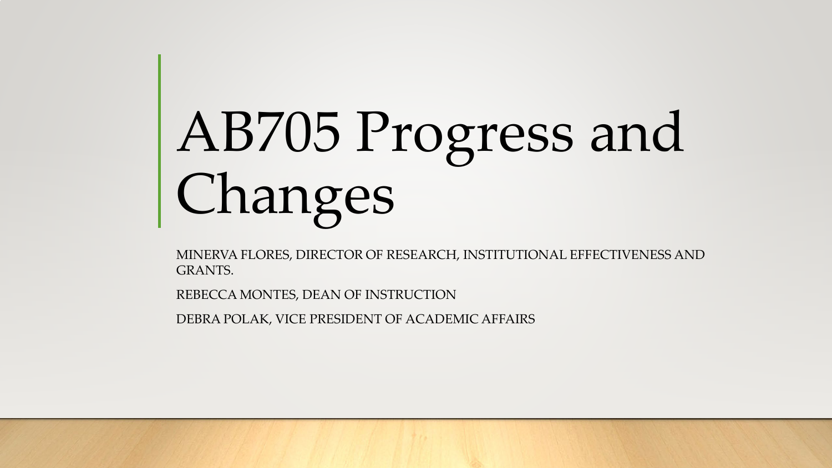# AB705 Progress and Changes

MINERVA FLORES, DIRECTOR OF RESEARCH, INSTITUTIONAL EFFECTIVENESS AND GRANTS.

REBECCA MONTES, DEAN OF INSTRUCTION

DEBRA POLAK, VICE PRESIDENT OF ACADEMIC AFFAIRS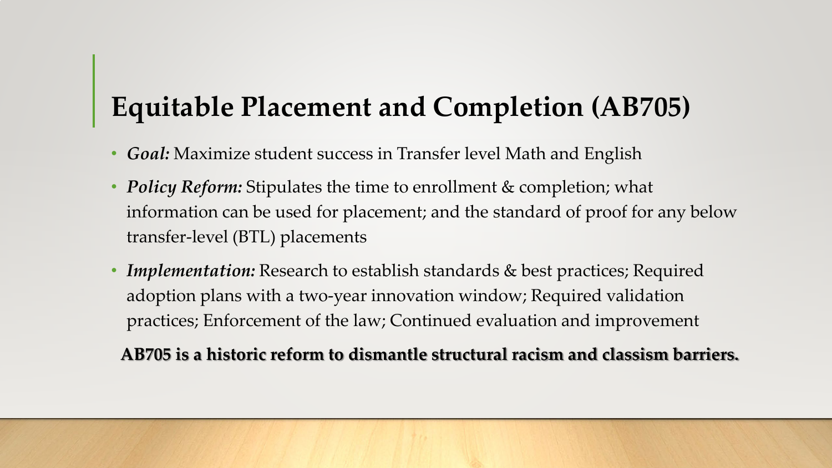# **Equitable Placement and Completion (AB705)**

- *Goal:* Maximize student success in Transfer level Math and English
- *Policy Reform:* Stipulates the time to enrollment & completion; what information can be used for placement; and the standard of proof for any below transfer-level (BTL) placements
- *Implementation:* Research to establish standards & best practices; Required adoption plans with a two-year innovation window; Required validation practices; Enforcement of the law; Continued evaluation and improvement

**AB705 is a historic reform to dismantle structural racism and classism barriers.**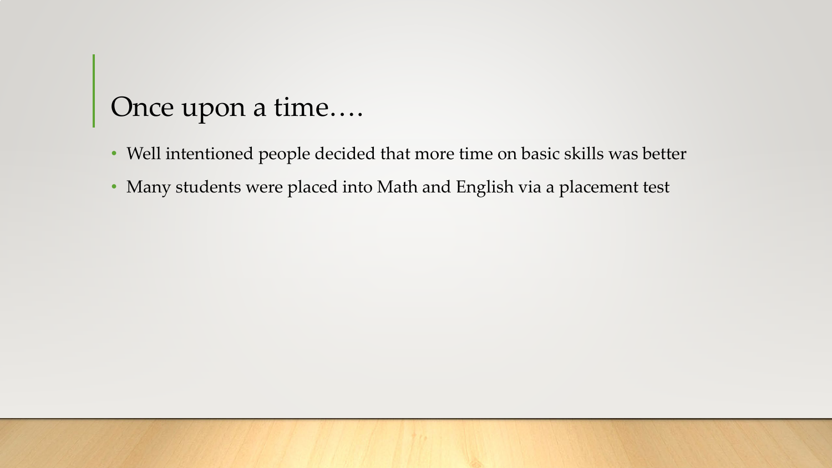## Once upon a time….

- Well intentioned people decided that more time on basic skills was better
- Many students were placed into Math and English via a placement test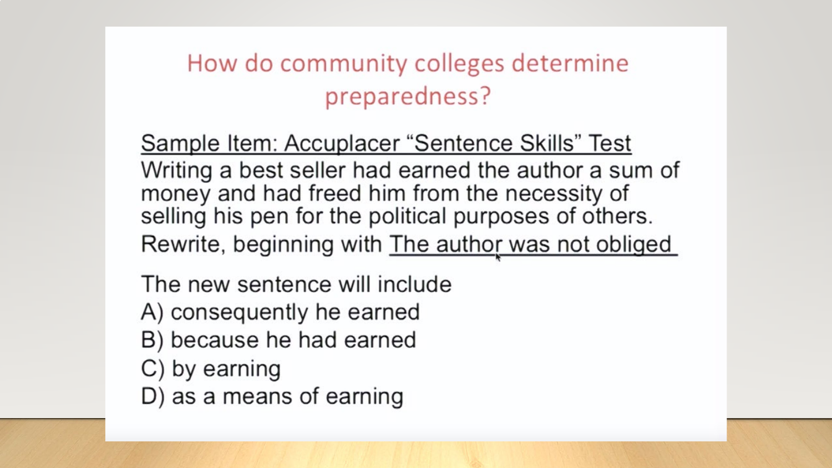#### How do community colleges determine preparedness?

Sample Item: Accuplacer "Sentence Skills" Test Writing a best seller had earned the author a sum of money and had freed him from the necessity of selling his pen for the political purposes of others. Rewrite, beginning with The author was not obliged

The new sentence will include

- A) consequently he earned
- B) because he had earned
- C) by earning
- D) as a means of earning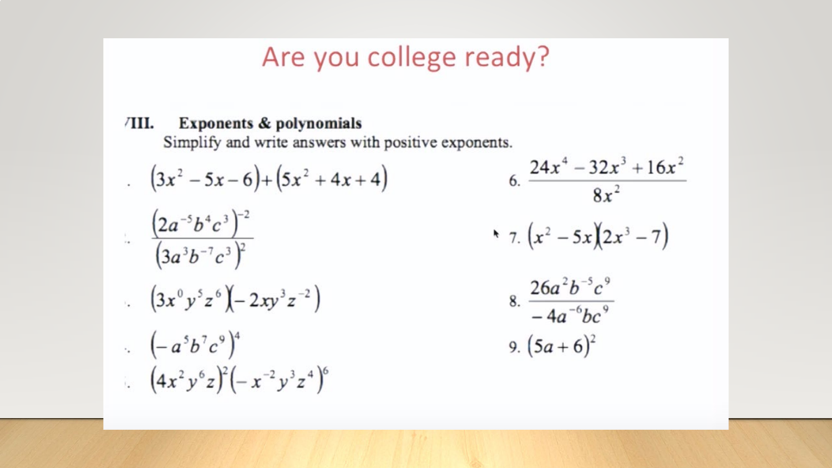#### Are you college ready?

#### Exponents & polynomials ⁄Ш.

Simplify and write answers with positive exponents.

$$
(3x2 - 5x - 6) + (5x2 + 4x + 4)
$$
  
\n
$$
\frac{(2a-5b4c3)-2}{(3a3b-7c3)2}
$$
  
\n
$$
\cdot \frac{(3x0y5z6)(-2xy3z-2)}{3x0z-2z-1}
$$
  
\n
$$
\cdot \frac{(a5b7c9)(-ay3z-2)}{(-a5b7c9)4}
$$
  
\n
$$
\cdot \frac{(4x2y6z)2(-x-2y3z4)6}{(4x2y6z)2(-x-2y3z4)6}
$$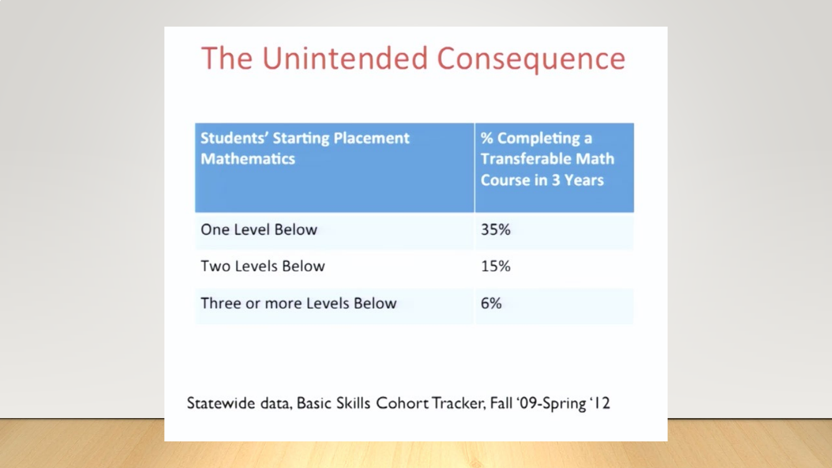# The Unintended Consequence

| <b>Students' Starting Placement</b><br><b>Mathematics</b> | % Completing a<br><b>Transferable Math</b><br><b>Course in 3 Years</b> |
|-----------------------------------------------------------|------------------------------------------------------------------------|
| One Level Below                                           | 35%                                                                    |
| Two Levels Below                                          | 15%                                                                    |
| Three or more Levels Below                                | 6%                                                                     |

Statewide data, Basic Skills Cohort Tracker, Fall '09-Spring '12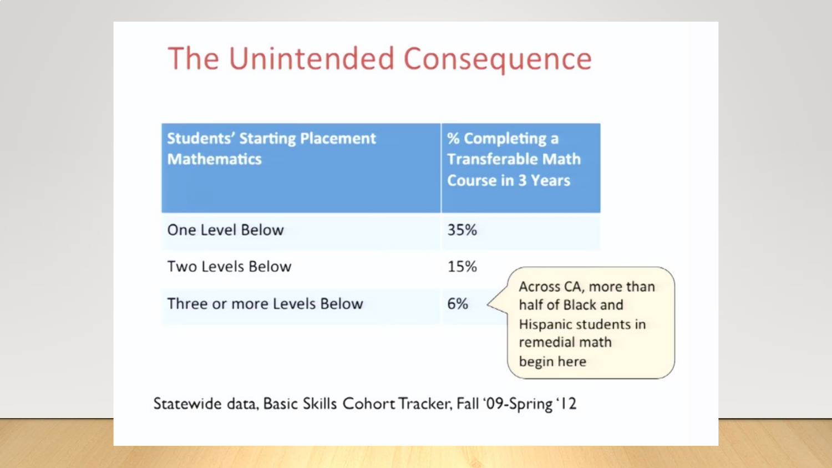# The Unintended Consequence

| <b>Students' Starting Placement</b><br><b>Mathematics</b> | % Completing a<br><b>Transferable Math</b><br><b>Course in 3 Years</b>                                 |
|-----------------------------------------------------------|--------------------------------------------------------------------------------------------------------|
| One Level Below                                           | 35%                                                                                                    |
| <b>Two Levels Below</b>                                   | 15%                                                                                                    |
| Three or more Levels Below                                | Across CA, more than<br>6%<br>half of Black and<br>Hispanic students in<br>remedial math<br>begin here |

Statewide data, Basic Skills Cohort Tracker, Fall '09-Spring '12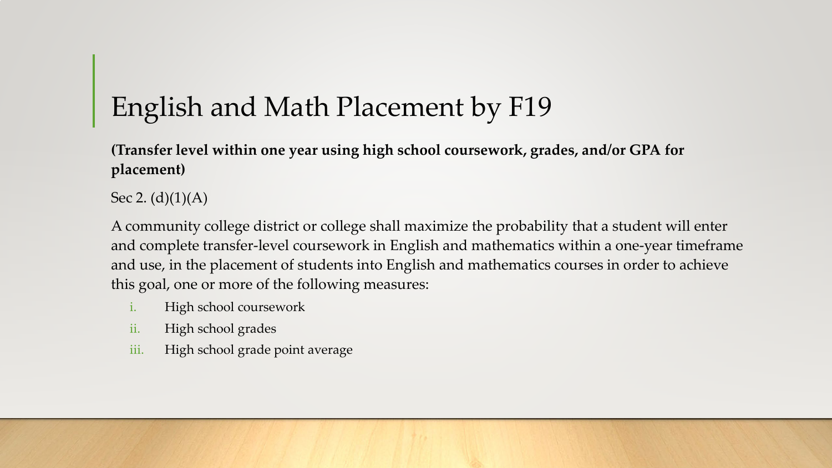# English and Math Placement by F19

**(Transfer level within one year using high school coursework, grades, and/or GPA for placement)**

Sec 2.  $(d)(1)(A)$ 

A community college district or college shall maximize the probability that a student will enter and complete transfer-level coursework in English and mathematics within a one-year timeframe and use, in the placement of students into English and mathematics courses in order to achieve this goal, one or more of the following measures:

- i. High school coursework
- ii. High school grades
- iii. High school grade point average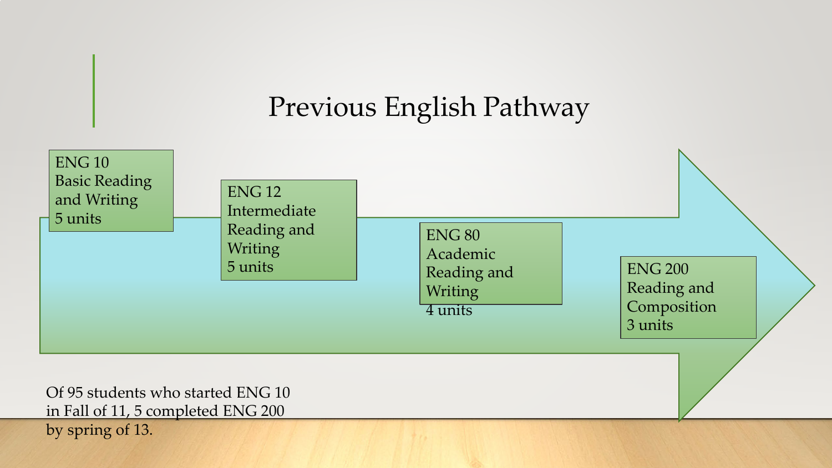# Previous English Pathway

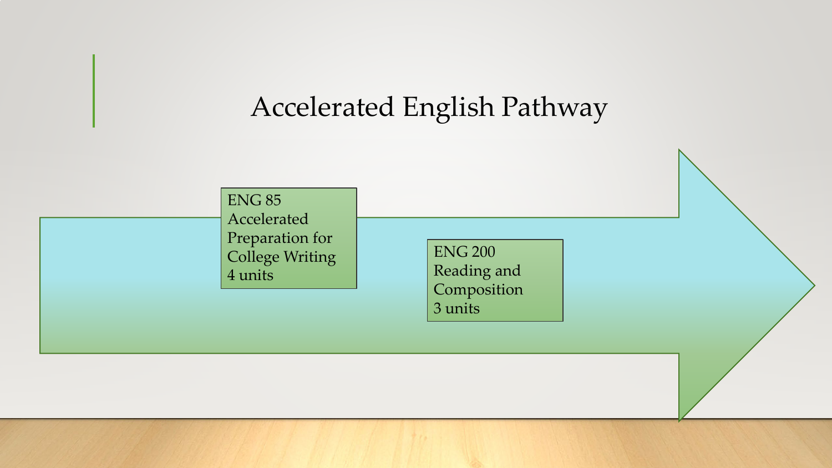#### Accelerated English Pathway

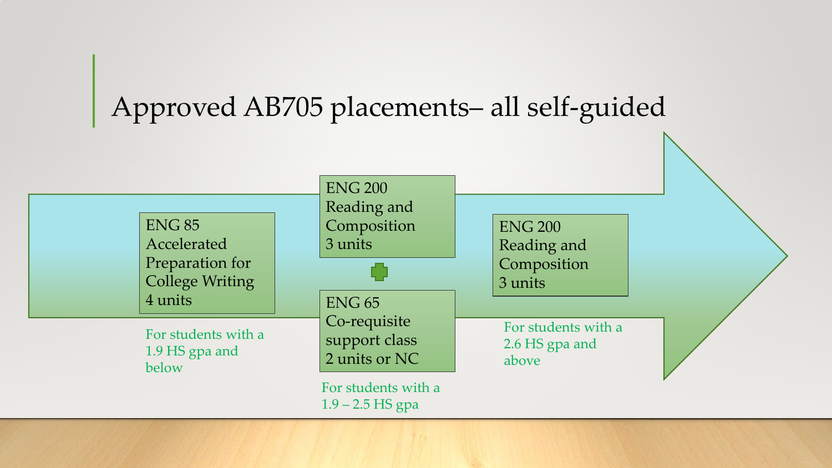## Approved AB705 placements– all self-guided

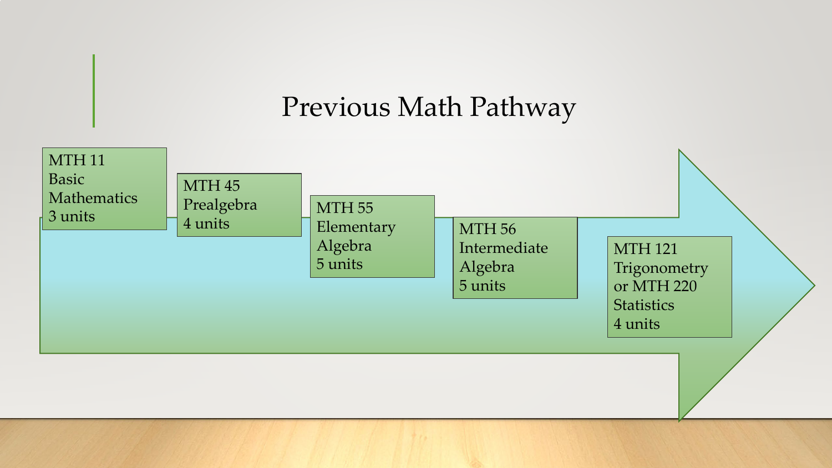#### Previous Math Pathway

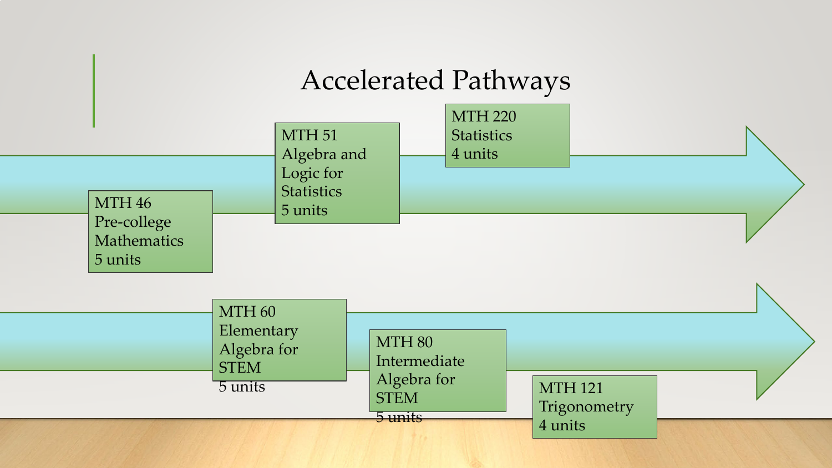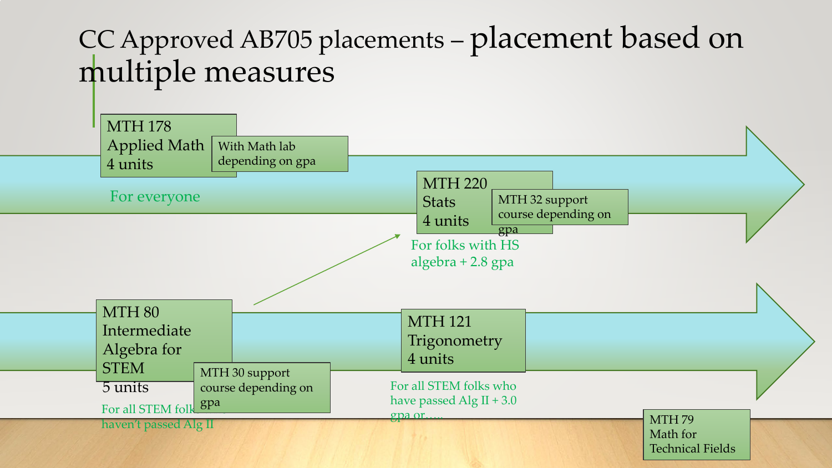# CC Approved AB705 placements – placement based on multiple measures

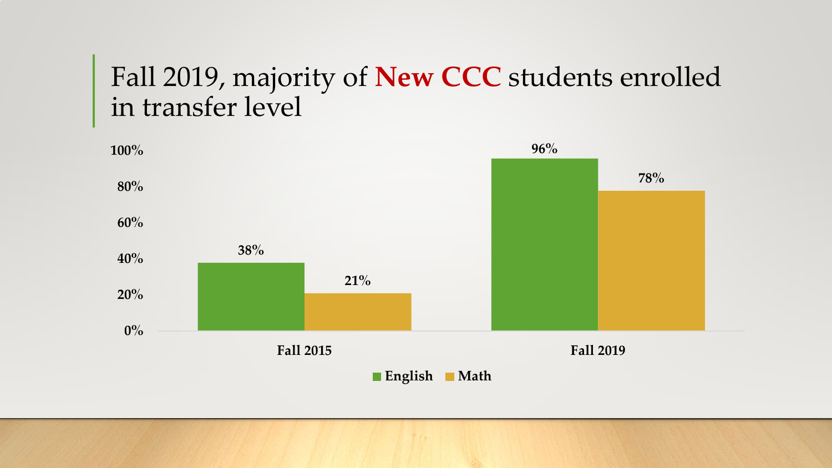#### Fall 2019, majority of **New CCC** students enrolled in transfer level

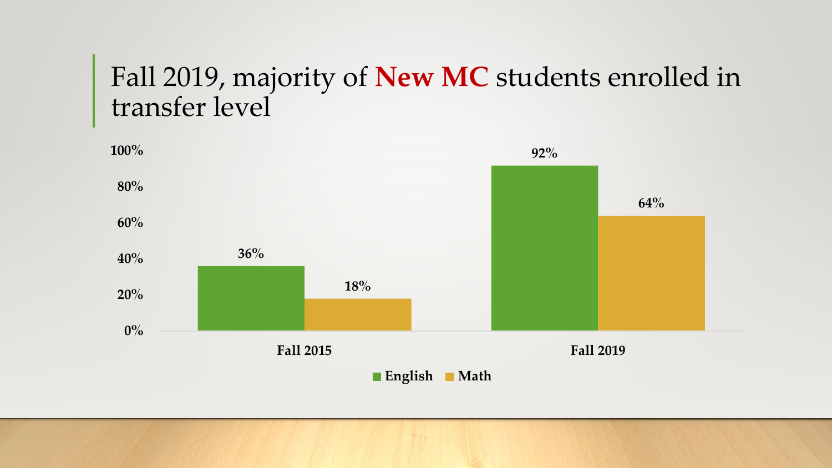#### Fall 2019, majority of **New MC** students enrolled in transfer level

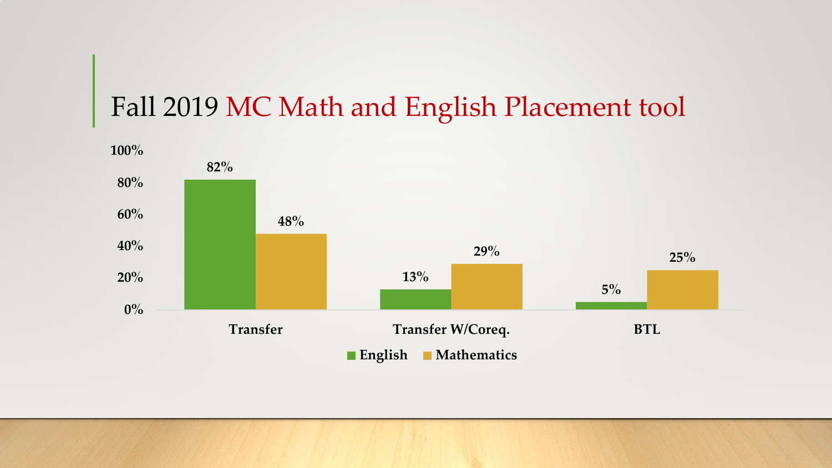#### Fall 2019 MC Math and English Placement tool

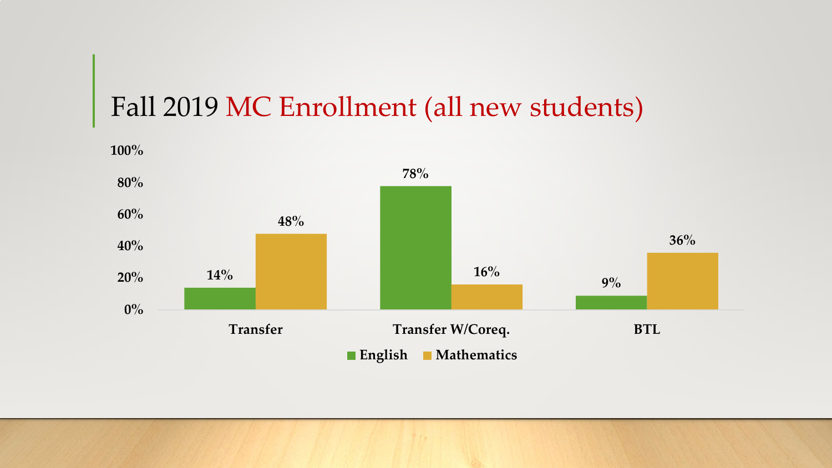#### Fall 2019 MC Enrollment (all new students)

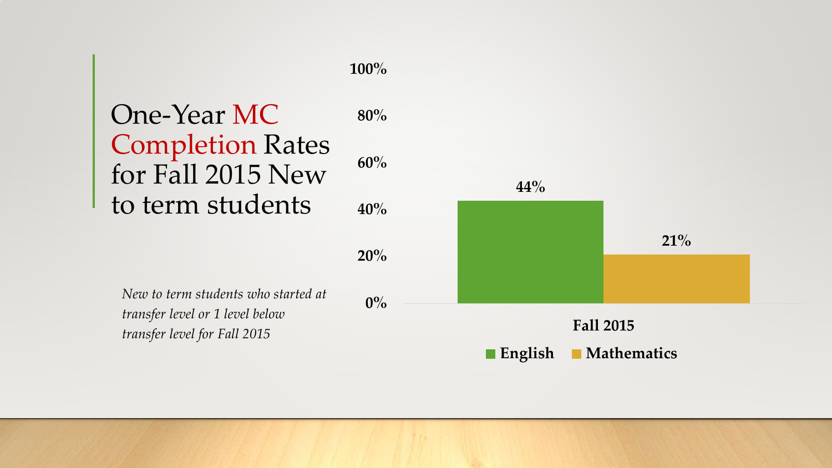

*transfer level for Fall 2015*

**English Mathematics**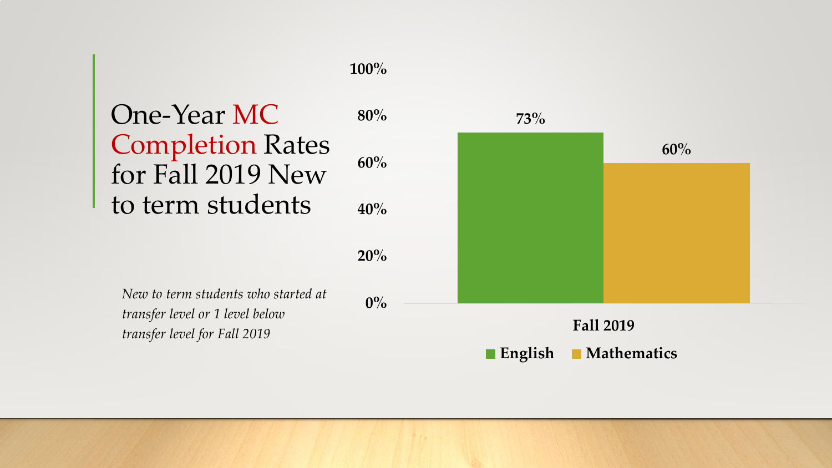#### One-Year MC Completion Rates for Fall 2019 New to term students **40% 60% 80%**

**0%**

**20%**

**100%**

*New to term students who started at transfer level or 1 level below transfer level for Fall 2019*

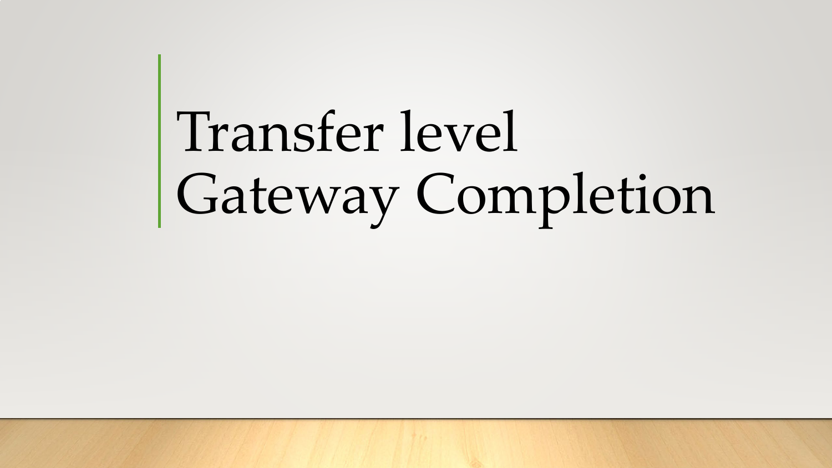# Transfer level Gateway Completion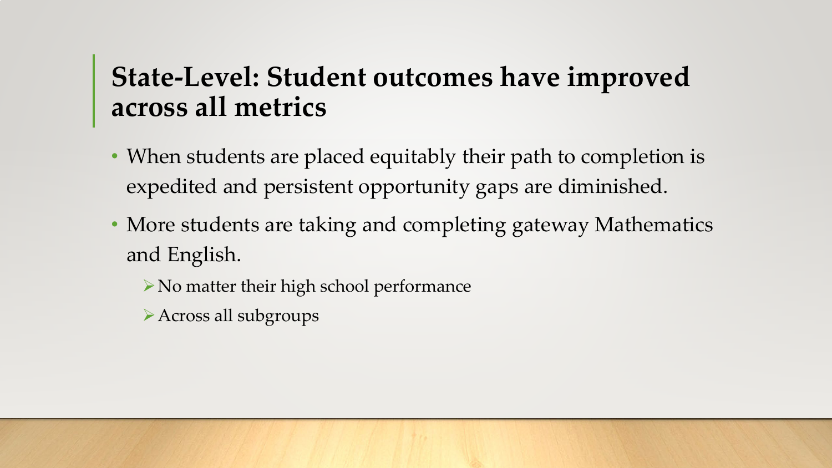## **State-Level: Student outcomes have improved across all metrics**

- When students are placed equitably their path to completion is expedited and persistent opportunity gaps are diminished.
- More students are taking and completing gateway Mathematics and English.
	- $\triangleright$  No matter their high school performance
	- Across all subgroups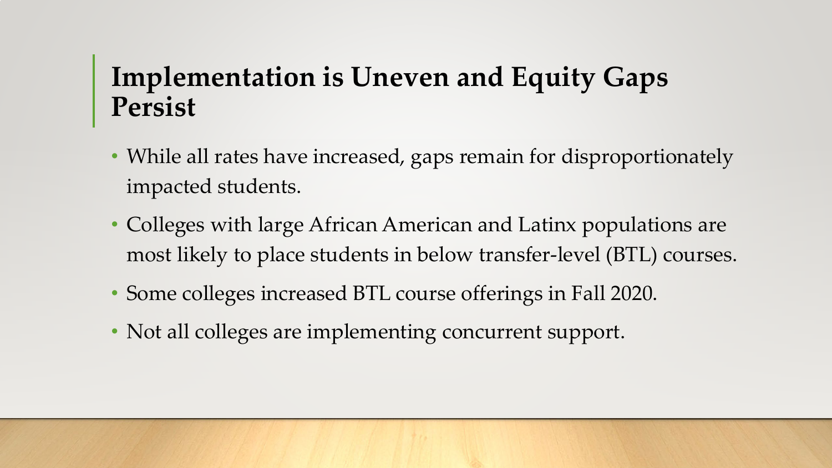# **Implementation is Uneven and Equity Gaps Persist**

- While all rates have increased, gaps remain for disproportionately impacted students.
- Colleges with large African American and Latinx populations are most likely to place students in below transfer-level (BTL) courses.
- Some colleges increased BTL course offerings in Fall 2020.
- Not all colleges are implementing concurrent support.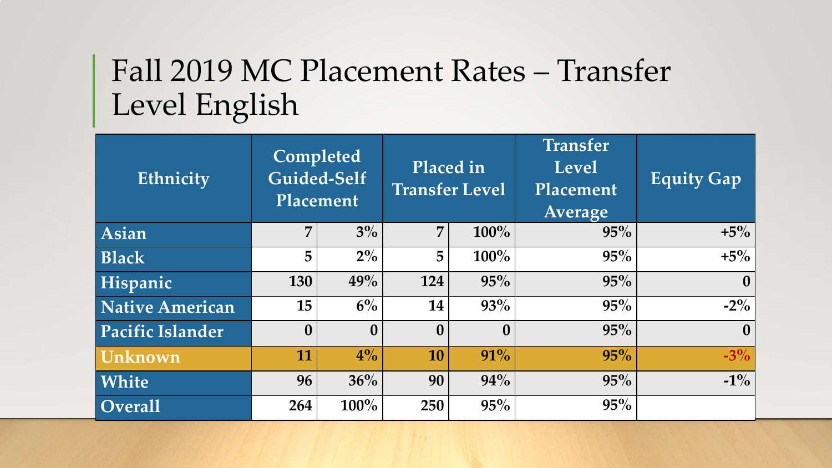# Fall 2019 MC Placement Rates – Transfer Level English

| Ethnicity               | Completed<br>Guided-Self<br>Placement |              |                |                  |     | Placed in<br><b>Transfer Level</b> | <b>Transfer</b><br><b>Level</b><br>Placement<br>Average | <b>Equity Gap</b> |
|-------------------------|---------------------------------------|--------------|----------------|------------------|-----|------------------------------------|---------------------------------------------------------|-------------------|
| Asian                   | $\overline{7}$                        | $3\%$        | $\overline{7}$ | 100%             | 95% | $+5\%$                             |                                                         |                   |
| <b>Black</b>            | 5                                     | $2\%$        | 5              | $100\%$          | 95% | $+5\%$                             |                                                         |                   |
| Hispanic                | 130                                   | 49%          | 124            | 95%              | 95% | $\bf{0}$                           |                                                         |                   |
| <b>Native American</b>  | 15                                    | $6\%$        | 14             | 93%              | 95% | $-2\%$                             |                                                         |                   |
| <b>Pacific Islander</b> | $\boldsymbol{0}$                      | $\mathbf{0}$ | $\mathbf{0}$   | $\boldsymbol{0}$ | 95% | $\bf{0}$                           |                                                         |                   |
| Unknown                 | 11                                    | $4\%$        | 10             | 91%              | 95% | $-3\%$                             |                                                         |                   |
| White                   | 96                                    | 36%          | 90             | 94%              | 95% | $-1\%$                             |                                                         |                   |
| <b>Overall</b>          | 264                                   | $100\%$      | 250            | 95%              | 95% |                                    |                                                         |                   |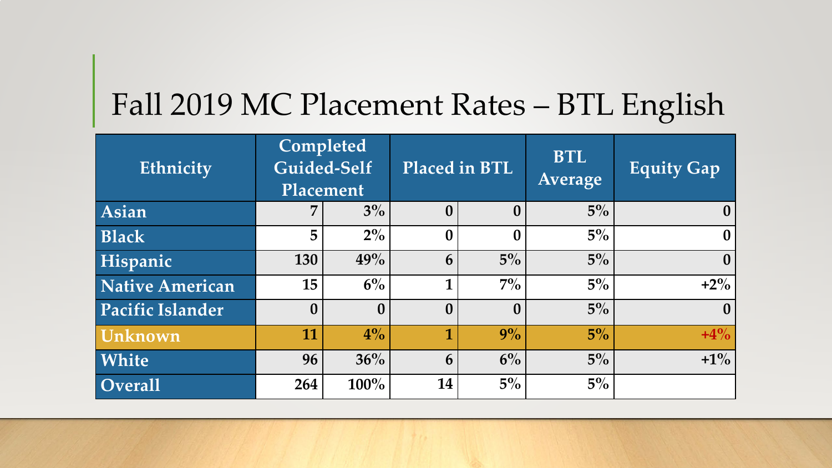# Fall 2019 MC Placement Rates – BTL English

| Ethnicity               | Completed<br>Guided-Self<br>Placement |                  |                  | Placed in BTL    | <b>BTL</b><br>Average | <b>Equity Gap</b> |
|-------------------------|---------------------------------------|------------------|------------------|------------------|-----------------------|-------------------|
| Asian                   | 7                                     | $3\%$            | $\bf{0}$         | $\bf{0}$         | $5\%$                 | $\bf{0}$          |
| <b>Black</b>            | 5                                     | $2\%$            | $\boldsymbol{0}$ | $\boldsymbol{0}$ | $5\%$                 | $\boldsymbol{0}$  |
| Hispanic                | 130                                   | 49%              | 6                | $5\%$            | $5\%$                 | $\boldsymbol{0}$  |
| <b>Native American</b>  | 15                                    | $6\%$            | 1                | $7\%$            | $5\%$                 | $+2\%$            |
| <b>Pacific Islander</b> | $\boldsymbol{0}$                      | $\boldsymbol{0}$ | $\bf{0}$         | $\bf{0}$         | $5\%$                 | $\boldsymbol{0}$  |
| Unknown                 | 11                                    | $4\%$            | 1                | 9%               | $5\%$                 | $+4%$             |
| White                   | 96                                    | 36%              | 6                | 6%               | $5\%$                 | $+1\%$            |
| <b>Overall</b>          | 264                                   | 100%             | 14               | $5\%$            | $5\%$                 |                   |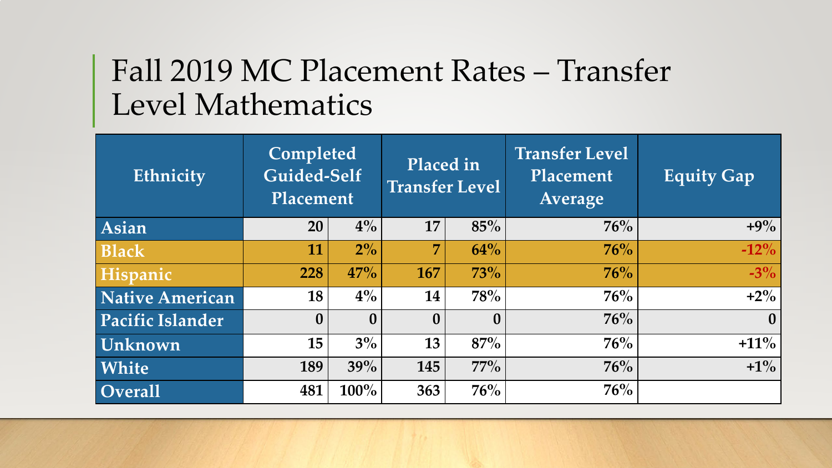# Fall 2019 MC Placement Rates – Transfer Level Mathematics

| Ethnicity              | Completed<br>Guided-Self<br>Placement |                  | Placed in<br><b>Transfer Level</b> |              | <b>Transfer Level</b><br>Placement<br>Average | <b>Equity Gap</b> |
|------------------------|---------------------------------------|------------------|------------------------------------|--------------|-----------------------------------------------|-------------------|
| Asian                  | 20                                    | $4\%$            | 17                                 | 85%          | 76%                                           | $+9\%$            |
| <b>Black</b>           | 11                                    | $2\%$            | 7                                  | 64%          | $76\%$                                        | $-12\%$           |
| Hispanic               | 228                                   | 47%              | 167                                | 73%          | 76%                                           | $-3\%$            |
| <b>Native American</b> | 18                                    | $4\%$            | 14                                 | 78%          | 76%                                           | $+2\%$            |
| Pacific Islander       | $\boldsymbol{0}$                      | $\boldsymbol{0}$ | $\mathbf{0}$                       | $\mathbf{0}$ | 76%                                           | $\mathbf{0}$      |
| Unknown                | 15                                    | $3\%$            | 13                                 | 87%          | 76%                                           | $+11\%$           |
| White                  | 189                                   | 39%              | 145                                | $77\%$       | 76%                                           | $+1\%$            |
| <b>Overall</b>         | 481                                   | 100%             | 363                                | 76%          | 76%                                           |                   |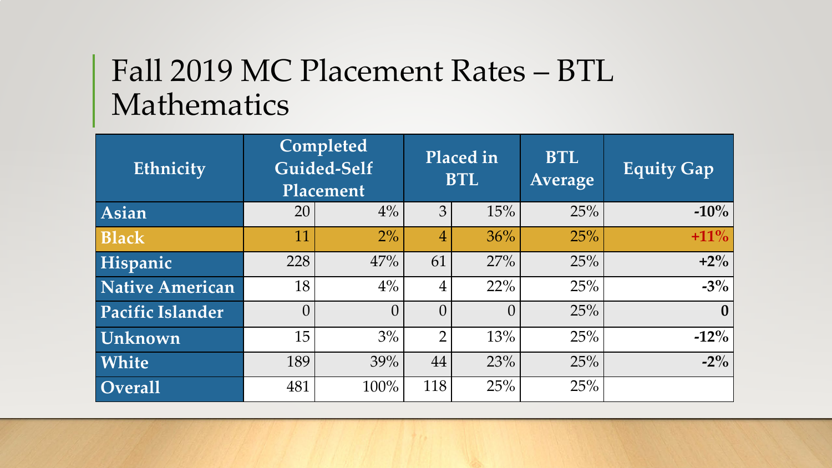# Fall 2019 MC Placement Rates – BTL Mathematics

| Ethnicity               | Completed<br>Guided-Self<br>Placement |          | Placed in<br><b>BTL</b> |          | <b>BTL</b><br>Average | <b>Equity Gap</b> |
|-------------------------|---------------------------------------|----------|-------------------------|----------|-----------------------|-------------------|
| Asian                   | 20                                    | $4\%$    | 3                       | 15%      | 25%                   | $-10\%$           |
| <b>Black</b>            | 11                                    | $2\%$    | $\overline{4}$          | 36%      | 25%                   | $+11\%$           |
| Hispanic                | 228                                   | 47%      | 61                      | 27%      | 25%                   | $+2\%$            |
| <b>Native American</b>  | 18                                    | $4\%$    | 4                       | 22%      | 25%                   | $-3\%$            |
| <b>Pacific Islander</b> | $\overline{0}$                        | $\left($ | $\theta$                | $\Omega$ | 25%                   | $\bf{0}$          |
| <b>Unknown</b>          | 15                                    | 3%       | $\overline{2}$          | 13%      | 25%                   | $-12\%$           |
| White                   | 189                                   | 39%      | 44                      | 23%      | 25%                   | $-2\%$            |
| Overall                 | 481                                   | 100%     | 118                     | 25%      | 25%                   |                   |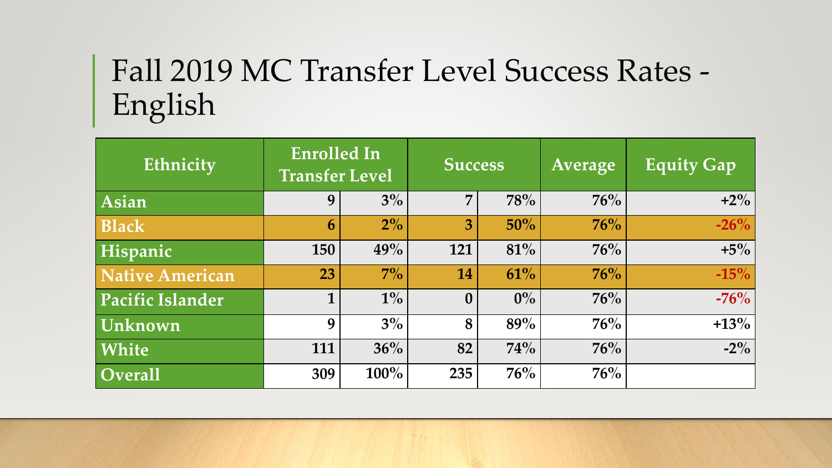# Fall 2019 MC Transfer Level Success Rates - English

| Ethnicity            | <b>Enrolled In</b><br><b>Transfer Level</b> |       | <b>Success</b>   |       | <b>Average</b> | <b>Equity Gap</b> |
|----------------------|---------------------------------------------|-------|------------------|-------|----------------|-------------------|
| Asian                | 9                                           | $3\%$ | 7                | 78%   | 76%            | $+2\%$            |
| <b>Black</b>         | 6                                           | $2\%$ | 3                | 50%   | 76%            | $-26%$            |
| Hispanic             | 150                                         | 49%   | 121              | 81%   | 76%            | $+5\%$            |
| Native American      | 23                                          | $7\%$ | 14               | 61%   | 76%            | $-15%$            |
| Pacific Islander     | 1                                           | $1\%$ | $\boldsymbol{0}$ | $0\%$ | 76%            | $-76%$            |
| Unknown              | 9                                           | $3\%$ | 8                | 89%   | 76%            | $+13%$            |
| <b>White</b>         | 111                                         | 36%   | 82               | 74%   | 76%            | $-2\%$            |
| $\overline{Overall}$ | 309                                         | 100%  | 235              | 76%   | 76%            |                   |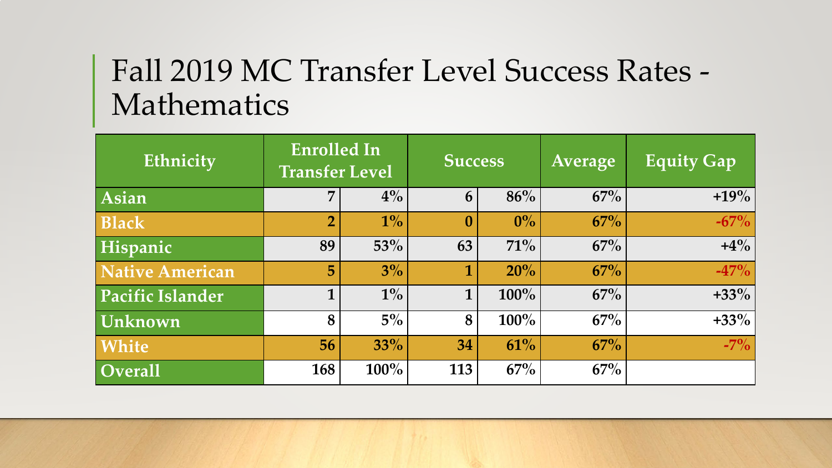# Fall 2019 MC Transfer Level Success Rates - Mathematics

| Ethnicity                   | <b>Enrolled In</b><br><b>Transfer Level</b> |       | <b>Success</b>   |         | Average | Equity Gap |
|-----------------------------|---------------------------------------------|-------|------------------|---------|---------|------------|
| $\vert$ Asian               | 7                                           | $4\%$ | 6                | 86%     | 67%     | $+19%$     |
| <b>Black</b>                | $\overline{2}$                              | $1\%$ | $\boldsymbol{0}$ | $0\%$   | 67%     | $-67%$     |
| Hispanic                    | 89                                          | 53%   | 63               | 71%     | 67%     | $+4\%$     |
| Native American             | 5                                           | $3\%$ | 1                | 20%     | 67%     | $-47%$     |
| Pacific Islander            | 1                                           | $1\%$ | $\mathbf 1$      | $100\%$ | 67%     | $+33\%$    |
| Unknown                     | 8                                           | $5\%$ | 8                | 100%    | 67%     | $+33%$     |
| <b>White</b>                | 56                                          | 33%   | 34               | 61%     | 67%     | $-7\%$     |
| $\overline{\text{Overall}}$ | 168                                         | 100%  | 113              | 67%     | 67%     |            |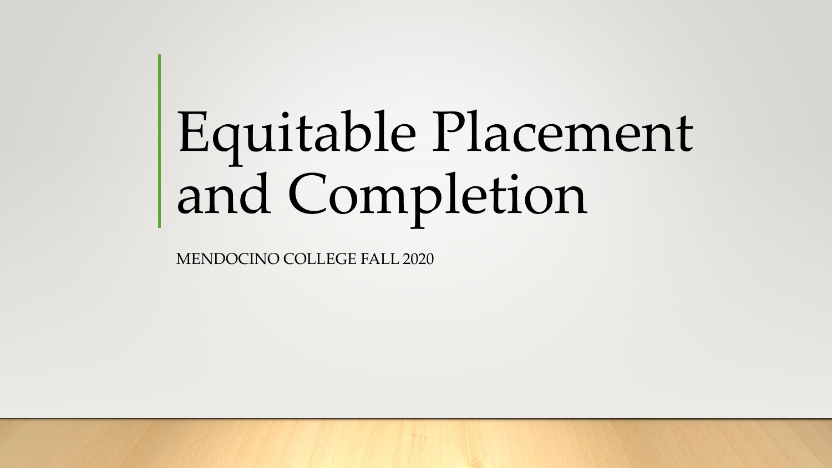# Equitable Placement and Completion

MENDOCINO COLLEGE FALL 2020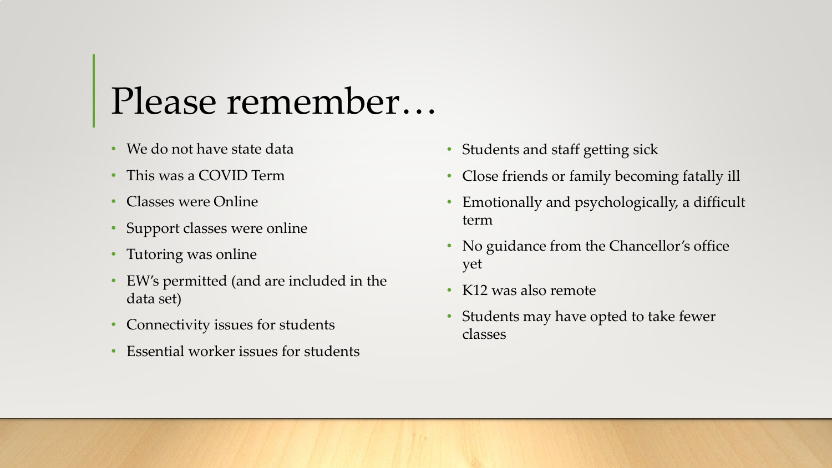# Please remember…

- We do not have state data
- This was a COVID Term
- Classes were Online
- Support classes were online
- Tutoring was online
- EW's permitted (and are included in the data set)
- Connectivity issues for students
- Essential worker issues for students
- Students and staff getting sick
- Close friends or family becoming fatally ill
- Emotionally and psychologically, a difficult term
- No guidance from the Chancellor's office yet
- K12 was also remote
- Students may have opted to take fewer classes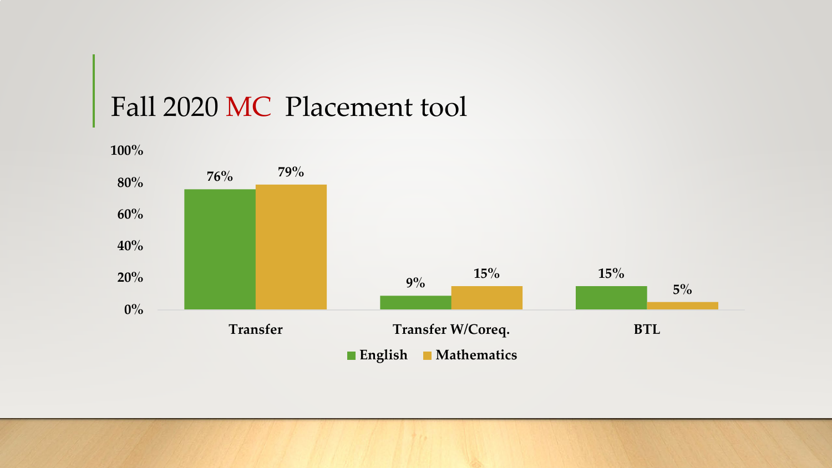#### Fall 2020 MC Placement tool

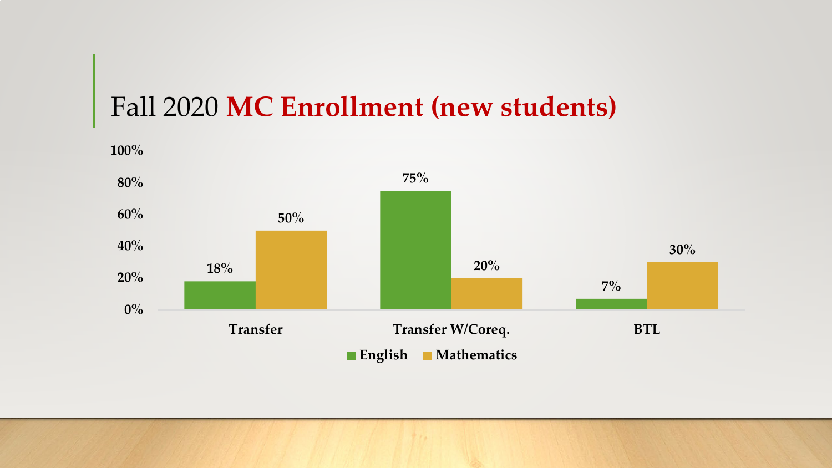#### Fall 2020 **MC Enrollment (new students)**



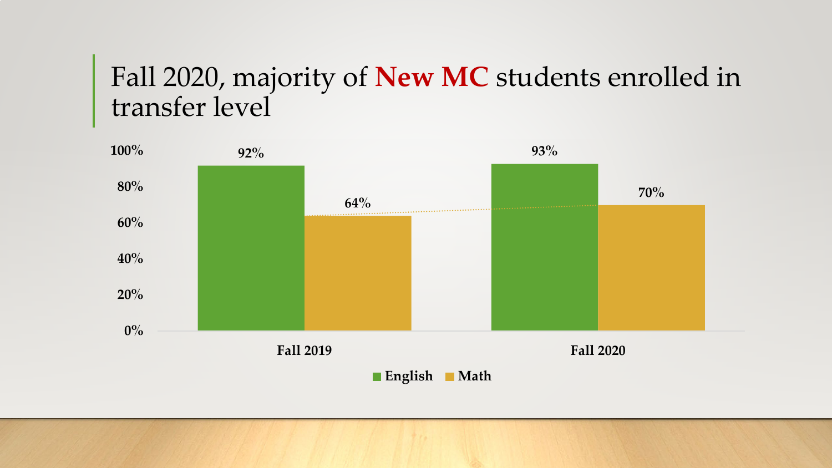#### Fall 2020, majority of **New MC** students enrolled in transfer level

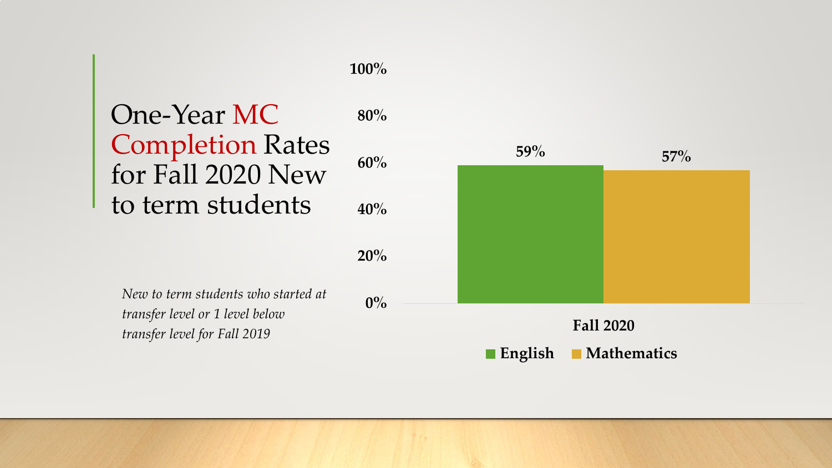#### One-Year MC Completion Rates for Fall 2020 New to term students **40% 60% 80%**

**100%**

*New to term students who started at transfer level or 1 level below transfer level for Fall 2019*

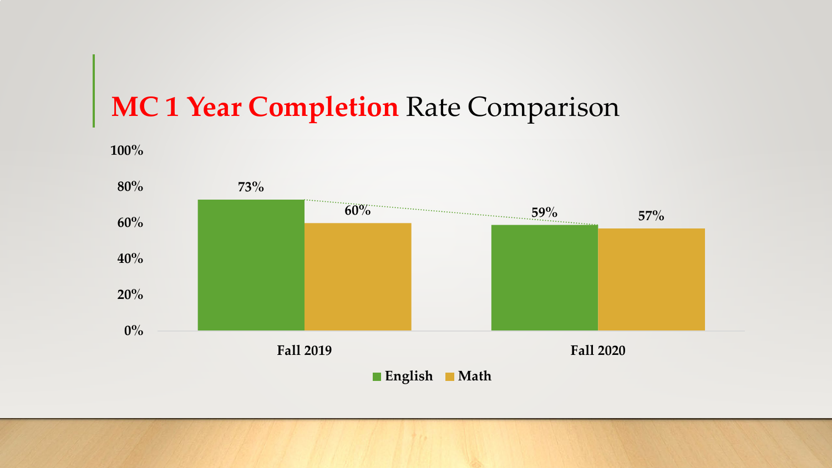# **MC 1 Year Completion Rate Comparison**

**100%**

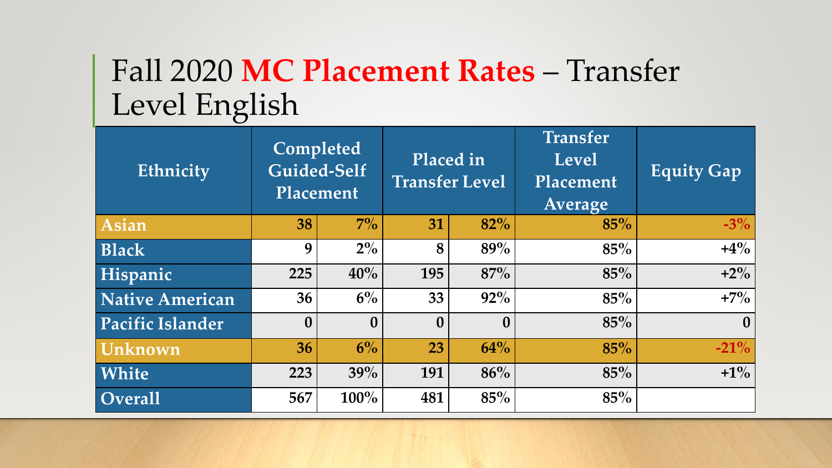# Fall 2020 MC Placement Rates – Transfer Level English

| Ethnicity               | Completed<br>Guided-Self<br>Placement |                  | Placed in<br><b>Transfer Level</b> |                  | <b>Transfer</b><br><b>Level</b><br>Placement<br>Average | Equity Gap       |
|-------------------------|---------------------------------------|------------------|------------------------------------|------------------|---------------------------------------------------------|------------------|
| <b>Asian</b>            | 38                                    | $7\%$            | 31                                 | 82%              | 85%                                                     | $-3\%$           |
| <b>Black</b>            | 9                                     | $2\%$            | 8                                  | 89%              | 85%                                                     | $+4\%$           |
| Hispanic                | 225                                   | 40%              | 195                                | 87%              | 85%                                                     | $+2\%$           |
| <b>Native American</b>  | 36                                    | $6\%$            | 33                                 | 92%              | 85%                                                     | $+7\%$           |
| <b>Pacific Islander</b> | $\boldsymbol{0}$                      | $\boldsymbol{0}$ | $\mathbf{0}$                       | $\boldsymbol{0}$ | 85%                                                     | $\boldsymbol{0}$ |
| Unknown                 | 36                                    | $6\%$            | 23                                 | 64%              | 85%                                                     | $-21\%$          |
| White                   | 223                                   | 39%              | 191                                | 86%              | 85%                                                     | $+1\%$           |
| <b>Overall</b>          | 567                                   | 100%             | 481                                | 85%              | 85%                                                     |                  |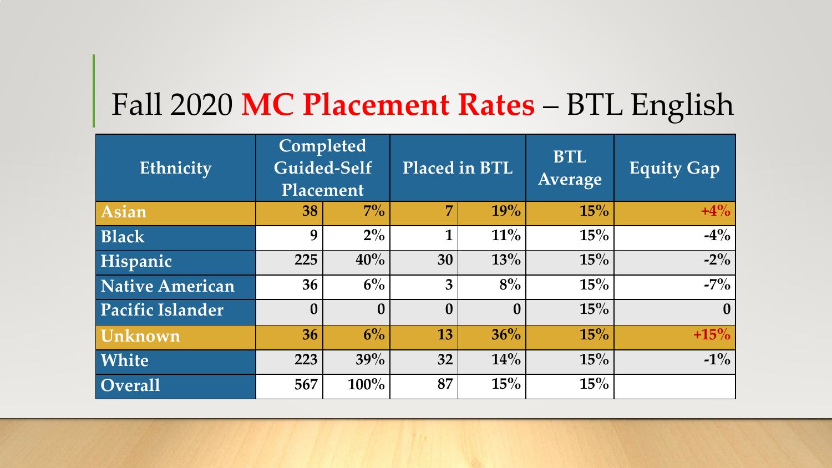# Fall 2020 **MC Placement Rates** – BTL English

| Ethnicity               | Completed<br>Guided-Self<br>Placement |                  |                  | Placed in BTL | <b>BTL</b><br>Average | <b>Equity Gap</b> |
|-------------------------|---------------------------------------|------------------|------------------|---------------|-----------------------|-------------------|
| <b>Asian</b>            | 38                                    | $7\%$            | $\overline{7}$   | 19%           | 15%                   | $+4\%$            |
| <b>Black</b>            | 9                                     | $2\%$            | 1                | $11\%$        | $15\%$                | $-4\%$            |
| Hispanic                | 225                                   | 40%              | 30               | 13%           | 15%                   | $-2\%$            |
| <b>Native American</b>  | 36                                    | $6\%$            | 3                | 8%            | 15%                   | $-7\%$            |
| <b>Pacific Islander</b> | $\bf{0}$                              | $\boldsymbol{0}$ | $\boldsymbol{0}$ | $\bf{0}$      | 15%                   | $\boldsymbol{0}$  |
| Unknown                 | 36                                    | $6\%$            | 13               | 36%           | 15%                   | $+15%$            |
| White                   | 223                                   | 39%              | 32               | 14%           | 15%                   | $-1\%$            |
| <b>Overall</b>          | 567                                   | 100%             | 87               | 15%           | 15%                   |                   |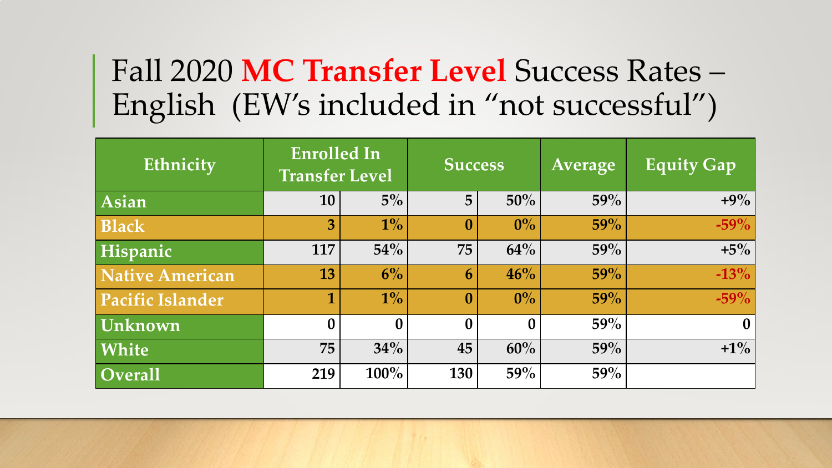# Fall 2020 **MC Transfer Level** Success Rates – English (EW's included in "not successful")

| Ethnicity               | <b>Enrolled In</b><br><b>Transfer Level</b> |                  | <b>Success</b>   |          | Average | <b>Equity Gap</b> |
|-------------------------|---------------------------------------------|------------------|------------------|----------|---------|-------------------|
| Asian                   | <b>10</b>                                   | $5\%$            | 5                | 50%      | 59%     | $+9\%$            |
| <b>Black</b>            | 3                                           | $1\%$            | $\boldsymbol{0}$ | $0\%$    | 59%     | $-59%$            |
| Hispanic                | 117                                         | $54\%$           | 75               | 64%      | 59%     | $+5\%$            |
| Native American         | 13                                          | $6\%$            | 6                | 46%      | 59%     | $-13%$            |
| <b>Pacific Islander</b> | 1                                           | $1\%$            | $\boldsymbol{0}$ | $0\%$    | 59%     | $-59%$            |
| Unknown                 | $\boldsymbol{0}$                            | $\boldsymbol{0}$ | $\boldsymbol{0}$ | $\Omega$ | 59%     | $\bf{0}$          |
| White                   | 75                                          | 34%              | 45               | 60%      | 59%     | $+1\%$            |
| $\overline{O}$ verall   | 219                                         | 100%             | 130              | 59%      | 59%     |                   |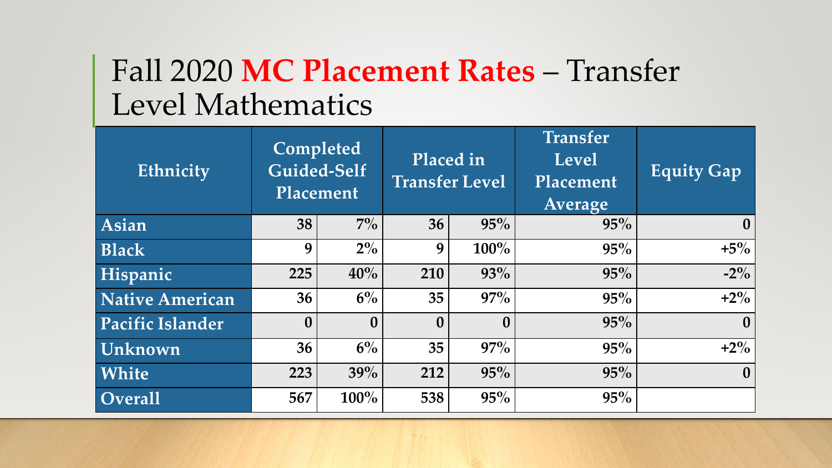# Fall 2020 MC Placement Rates – Transfer Level Mathematics

| Ethnicity               | Completed<br>Guided-Self<br>Placement |                  | Placed in<br><b>Transfer Level</b> |                  | <b>Transfer</b><br><b>Level</b><br>Placement<br>Average | <b>Equity Gap</b> |
|-------------------------|---------------------------------------|------------------|------------------------------------|------------------|---------------------------------------------------------|-------------------|
| Asian                   | 38                                    | $7\%$            | 36                                 | 95%              | 95%                                                     | $\bf{0}$          |
| <b>Black</b>            | 9                                     | $2\%$            | 9                                  | $100\%$          | 95%                                                     | $+5\%$            |
| Hispanic                | 225                                   | 40%              | 210                                | 93%              | 95%                                                     | $-2\%$            |
| <b>Native American</b>  | 36                                    | $6\%$            | 35                                 | 97%              | 95%                                                     | $+2\%$            |
| <b>Pacific Islander</b> | $\boldsymbol{0}$                      | $\boldsymbol{0}$ | $\mathbf{0}$                       | $\boldsymbol{0}$ | 95%                                                     | $\boldsymbol{0}$  |
| Unknown                 | 36                                    | $6\%$            | 35                                 | 97%              | 95%                                                     | $+2\%$            |
| White                   | 223                                   | 39%              | 212                                | 95%              | 95%                                                     | $\boldsymbol{0}$  |
| <b>Overall</b>          | 567                                   | $100\%$          | 538                                | 95%              | 95%                                                     |                   |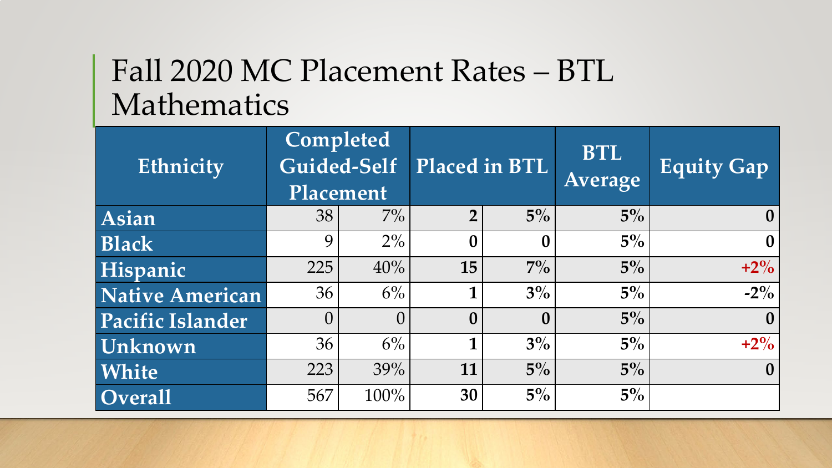# Fall 2020 MC Placement Rates – BTL Mathematics

| Ethnicity        | Completed<br>Guided-Self<br>Placement |          | <b>Placed in BTL</b> |                  | <b>BTL</b><br>Average | <b>Equity Gap</b> |
|------------------|---------------------------------------|----------|----------------------|------------------|-----------------------|-------------------|
| Asian            | 38                                    | $7\%$    | $\overline{2}$       | $5\%$            | $5\%$                 | $\mathbf{0}$      |
| <b>Black</b>     | $\mathsf{Q}$                          | $2\%$    | $\Omega$             |                  | $5\%$                 | $\bf{0}$          |
| Hispanic         | 225                                   | 40%      | 15                   | $7\%$            | $5\%$                 | $+2\%$            |
| Native American  | 36                                    | 6%       |                      | $3\%$            | $5\%$                 | $-2\%$            |
| Pacific Islander | 0                                     | $\Omega$ | $\mathbf{0}$         | $\boldsymbol{0}$ | $5\%$                 | $\mathbf{0}$      |
| <b>Unknown</b>   | 36                                    | $6\%$    | 1                    | $3\%$            | $5\%$                 | $+2\%$            |
| White            | 223                                   | 39%      | 11                   | $5\%$            | $5\%$                 | $\mathbf{0}$      |
| $\sim$ Overall   | 567                                   | 100%     | 30                   | $5\%$            | $5\%$                 |                   |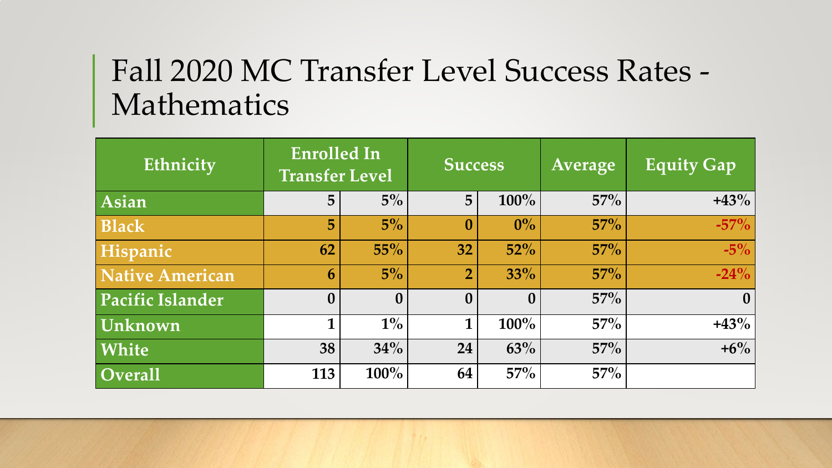# Fall 2020 MC Transfer Level Success Rates - Mathematics

| Ethnicity             | <b>Enrolled In</b><br><b>Transfer Level</b> |                  | <b>Success</b>   |              | Average | <b>Equity Gap</b> |
|-----------------------|---------------------------------------------|------------------|------------------|--------------|---------|-------------------|
| Asian                 | 5                                           | $5\%$            | 5                | 100%         | 57%     | $+43%$            |
| <b>Black</b>          | 5                                           | $5\%$            | $\boldsymbol{0}$ | $0\%$        | $57\%$  | $-57\%$           |
| Hispanic              | 62                                          | 55%              | 32               | $52\%$       | $57\%$  | $-5\%$            |
| Native American       | 6                                           | $5\%$            | $\overline{2}$   | 33%          | $57\%$  | $-24%$            |
| Pacific Islander      | $\boldsymbol{0}$                            | $\boldsymbol{0}$ | $\boldsymbol{0}$ | $\mathbf{0}$ | $57\%$  | $\bf{0}$          |
| Unknown               | 1                                           | $1\%$            | $\mathbf 1$      | $100\%$      | $57\%$  | $+43%$            |
| White                 | 38                                          | 34%              | 24               | 63%          | $57\%$  | $+6\%$            |
| $\overline{O}$ verall | 113                                         | 100%             | 64               | $57\%$       | $57\%$  |                   |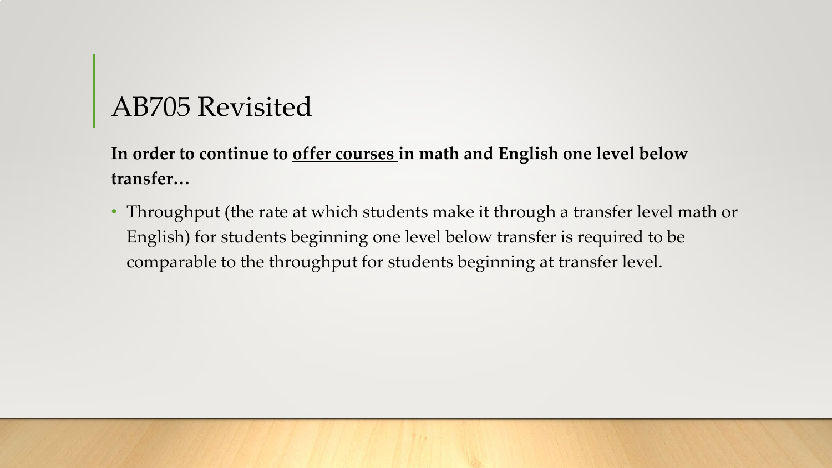## AB705 Revisited

**In order to continue to offer courses in math and English one level below transfer…**

• Throughput (the rate at which students make it through a transfer level math or English) for students beginning one level below transfer is required to be comparable to the throughput for students beginning at transfer level.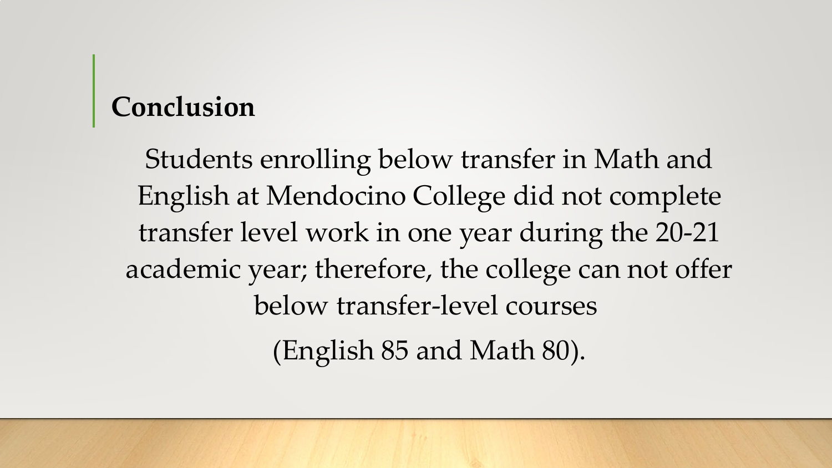## **Conclusion**

Students enrolling below transfer in Math and English at Mendocino College did not complete transfer level work in one year during the 20-21 academic year; therefore, the college can not offer below transfer-level courses (English 85 and Math 80).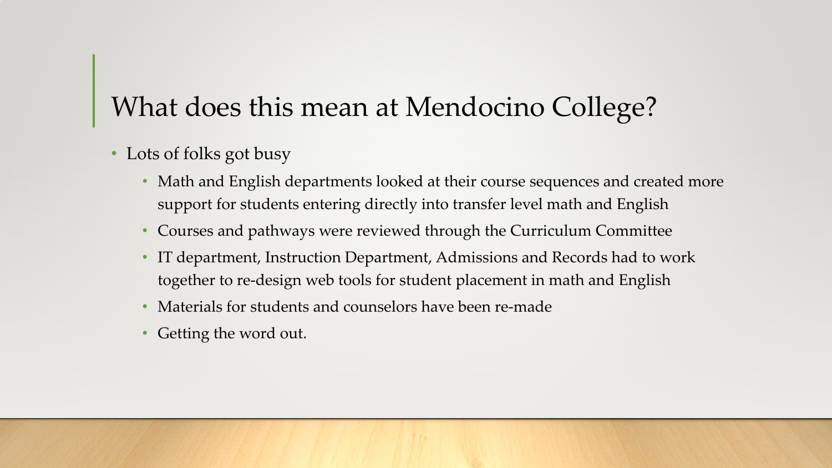# What does this mean at Mendocino College?

- Lots of folks got busy
	- Math and English departments looked at their course sequences and created more support for students entering directly into transfer level math and English
	- Courses and pathways were reviewed through the Curriculum Committee
	- IT department, Instruction Department, Admissions and Records had to work together to re-design web tools for student placement in math and English
	- Materials for students and counselors have been re-made
	- Getting the word out.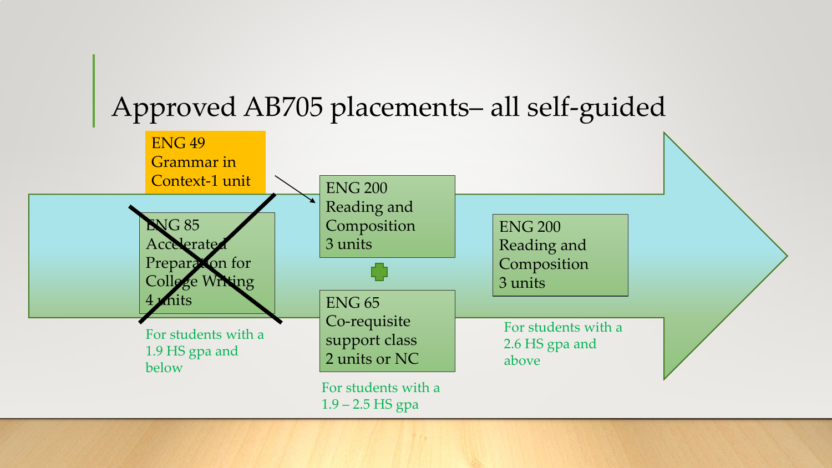## Approved AB705 placements– all self-guided

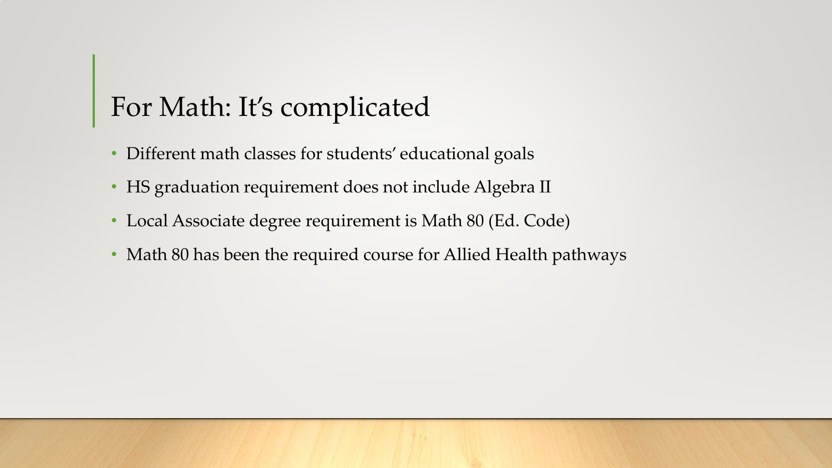# For Math: It's complicated

- Different math classes for students' educational goals
- HS graduation requirement does not include Algebra II
- Local Associate degree requirement is Math 80 (Ed. Code)
- Math 80 has been the required course for Allied Health pathways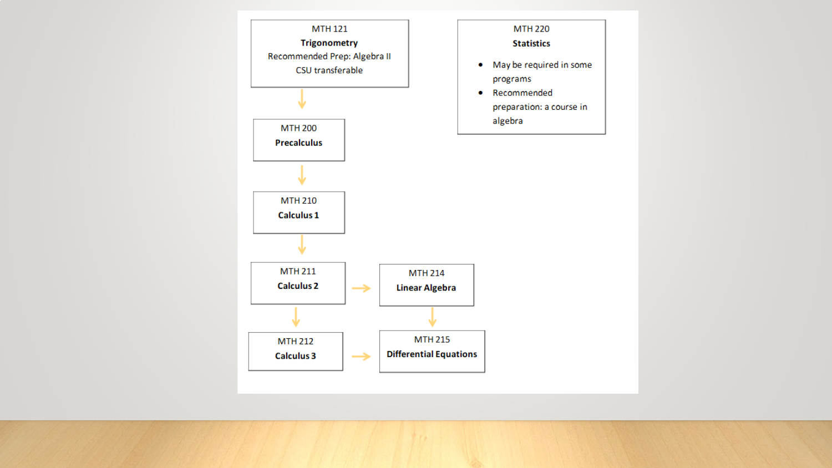

 $1.0 -$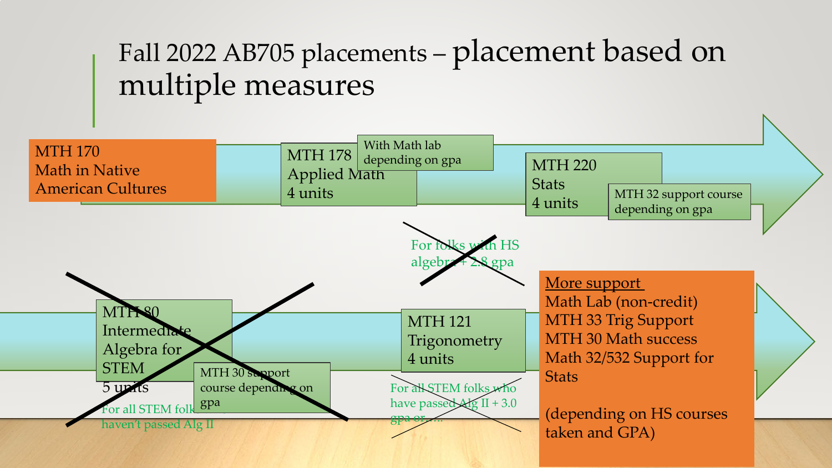# Fall 2022 AB705 placements – placement based on multiple measures

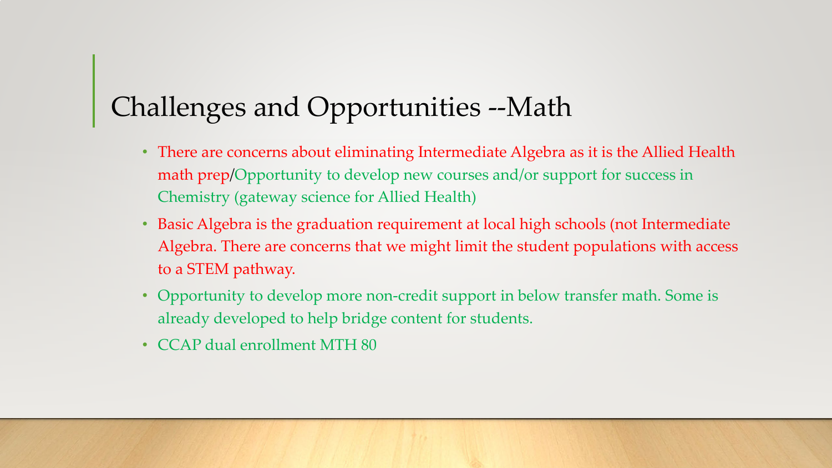# Challenges and Opportunities --Math

- There are concerns about eliminating Intermediate Algebra as it is the Allied Health math prep/Opportunity to develop new courses and/or support for success in Chemistry (gateway science for Allied Health)
- Basic Algebra is the graduation requirement at local high schools (not Intermediate Algebra. There are concerns that we might limit the student populations with access to a STEM pathway.
- Opportunity to develop more non-credit support in below transfer math. Some is already developed to help bridge content for students.
- CCAP dual enrollment MTH 80